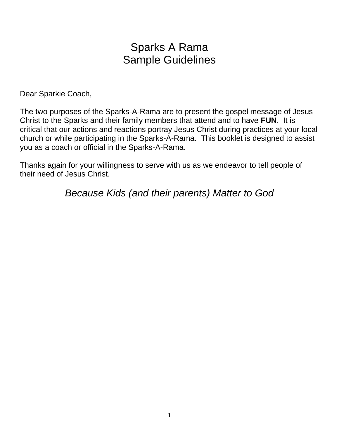# Sparks A Rama Sample Guidelines

Dear Sparkie Coach,

The two purposes of the Sparks-A-Rama are to present the gospel message of Jesus Christ to the Sparks and their family members that attend and to have **FUN**. It is critical that our actions and reactions portray Jesus Christ during practices at your local church or while participating in the Sparks-A-Rama. This booklet is designed to assist you as a coach or official in the Sparks-A-Rama.

Thanks again for your willingness to serve with us as we endeavor to tell people of their need of Jesus Christ.

*Because Kids (and their parents) Matter to God*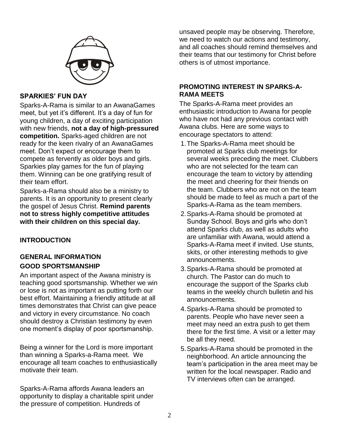

# **SPARKIES' FUN DAY**

Sparks-A-Rama is similar to an AwanaGames meet, but yet it's different. It's a day of fun for young children, a day of exciting participation with new friends, **not a day of high-pressured competition.** Sparks-aged children are not ready for the keen rivalry of an AwanaGames meet. Don't expect or encourage them to compete as fervently as older boys and girls. Sparkies play games for the fun of playing them. Winning can be one gratifying result of their team effort.

Sparks-a-Rama should also be a ministry to parents. It is an opportunity to present clearly the gospel of Jesus Christ. **Remind parents not to stress highly competitive attitudes with their children on this special day.**

# **INTRODUCTION**

# **GENERAL INFORMATION GOOD SPORTSMANSHIP**

An important aspect of the Awana ministry is teaching good sportsmanship. Whether we win or lose is not as important as putting forth our best effort. Maintaining a friendly attitude at all times demonstrates that Christ can give peace and victory in every circumstance. No coach should destroy a Christian testimony by even one moment's display of poor sportsmanship.

Being a winner for the Lord is more important than winning a Sparks-a-Rama meet. We encourage all team coaches to enthusiastically motivate their team.

Sparks-A-Rama affords Awana leaders an opportunity to display a charitable spirit under the pressure of competition. Hundreds of

unsaved people may be observing. Therefore, we need to watch our actions and testimony, and all coaches should remind themselves and their teams that our testimony for Christ before others is of utmost importance.

# **PROMOTING INTEREST IN SPARKS-A-RAMA MEETS**

The Sparks-A-Rama meet provides an enthusiastic introduction to Awana for people who have not had any previous contact with Awana clubs. Here are some ways to encourage spectators to attend:

- 1.The Sparks-A-Rama meet should be promoted at Sparks club meetings for several weeks preceding the meet. Clubbers who are not selected for the team can encourage the team to victory by attending the meet and cheering for their friends on the team. Clubbers who are not on the team should be made to feel as much a part of the Sparks-A-Rama as the team members.
- 2.Sparks-A-Rama should be promoted at Sunday School. Boys and girls who don't attend Sparks club, as well as adults who are unfamiliar with Awana, would attend a Sparks-A-Rama meet if invited. Use stunts, skits, or other interesting methods to give announcements.
- 3.Sparks-A-Rama should be promoted at church. The Pastor can do much to encourage the support of the Sparks club teams in the weekly church bulletin and his announcements.
- 4.Sparks-A-Rama should be promoted to parents. People who have never seen a meet may need an extra push to get them there for the first time. A visit or a letter may be all they need.
- 5.Sparks-A-Rama should be promoted in the neighborhood. An article announcing the team's participation in the area meet may be written for the local newspaper. Radio and TV interviews often can be arranged.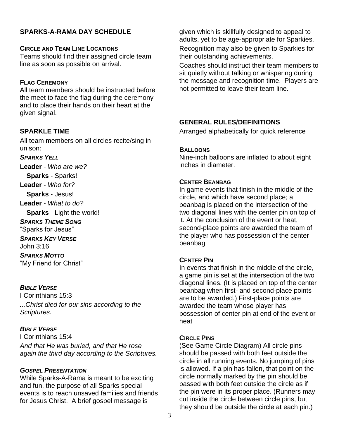# **SPARKS-A-RAMA DAY SCHEDULE**

#### **CIRCLE AND TEAM LINE LOCATIONS**

Teams should find their assigned circle team line as soon as possible on arrival.

## **FLAG CEREMONY**

All team members should be instructed before the meet to face the flag during the ceremony and to place their hands on their heart at the given signal.

## **SPARKLE TIME**

All team members on all circles recite/sing in unison:

#### *SPARKS YELL*

**Leader** - *Who are we?*

**Sparks** - Sparks!

**Leader** - *Who for?*

**Sparks** - Jesus!

**Leader** - *What to do?*

**Sparks** - Light the world!

*SPARKS THEME SONG*

"Sparks for Jesus"

*SPARKS KEY VERSE*

John 3:16

*SPARKS MOTTO* "My Friend for Christ"

## *BIBLE VERSE*

I Corinthians 15:3 *...Christ died for our sins according to the Scriptures.*

## *BIBLE VERSE*

I Corinthians 15:4 *And that He was buried, and that He rose again the third day according to the Scriptures.*

## *GOSPEL PRESENTATION*

While Sparks-A-Rama is meant to be exciting and fun, the purpose of all Sparks special events is to reach unsaved families and friends for Jesus Christ. A brief gospel message is

given which is skillfully designed to appeal to adults, yet to be age-appropriate for Sparkies. Recognition may also be given to Sparkies for their outstanding achievements.

Coaches should instruct their team members to sit quietly without talking or whispering during the message and recognition time. Players are not permitted to leave their team line.

# **GENERAL RULES/DEFINITIONS**

Arranged alphabetically for quick reference

#### **BALLOONS**

Nine-inch balloons are inflated to about eight inches in diameter.

#### **CENTER BEANBAG**

In game events that finish in the middle of the circle, and which have second place; a beanbag is placed on the intersection of the two diagonal lines with the center pin on top of it. At the conclusion of the event or heat, second-place points are awarded the team of the player who has possession of the center beanbag

## **CENTER PIN**

In events that finish in the middle of the circle, a game pin is set at the intersection of the two diagonal lines. (It is placed on top of the center beanbag when first- and second-place points are to be awarded.) First-place points are awarded the team whose player has possession of center pin at end of the event or heat

#### **CIRCLE PINS**

(See Game Circle Diagram) All circle pins should be passed with both feet outside the circle in all running events. No jumping of pins is allowed. If a pin has fallen, that point on the circle normally marked by the pin should be passed with both feet outside the circle as if the pin were in its proper place. (Runners may cut inside the circle between circle pins, but they should be outside the circle at each pin.)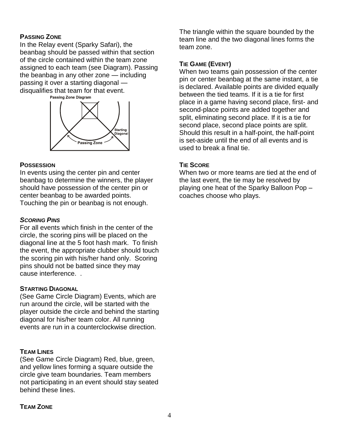#### **PASSING ZONE**

In the Relay event (Sparky Safari), the beanbag should be passed within that section of the circle contained within the team zone assigned to each team (see Diagram). Passing the beanbag in any other zone — including passing it over a starting diagonal disqualifies that team for that event.<br>Passing Zone Diagram



#### **POSSESSION**

In events using the center pin and center beanbag to determine the winners, the player should have possession of the center pin or center beanbag to be awarded points. Touching the pin or beanbag is not enough.

#### *SCORING PINS*

For all events which finish in the center of the circle, the scoring pins will be placed on the diagonal line at the 5 foot hash mark. To finish the event, the appropriate clubber should touch the scoring pin with his/her hand only. Scoring pins should not be batted since they may cause interference. .

#### **STARTING DIAGONAL**

(See Game Circle Diagram) Events, which are run around the circle, will be started with the player outside the circle and behind the starting diagonal for his/her team color. All running events are run in a counterclockwise direction.

#### **TEAM LINES**

(See Game Circle Diagram) Red, blue, green, and yellow lines forming a square outside the circle give team boundaries. Team members not participating in an event should stay seated behind these lines.

The triangle within the square bounded by the team line and the two diagonal lines forms the team zone.

## **TIE GAME (EVENT)**

When two teams gain possession of the center pin or center beanbag at the same instant, a tie is declared. Available points are divided equally between the tied teams. If it is a tie for first place in a game having second place, first- and second-place points are added together and split, eliminating second place. If it is a tie for second place, second place points are split. Should this result in a half-point, the half-point is set-aside until the end of all events and is used to break a final tie.

#### **TIE SCORE**

When two or more teams are tied at the end of the last event, the tie may be resolved by playing one heat of the Sparky Balloon Pop – coaches choose who plays.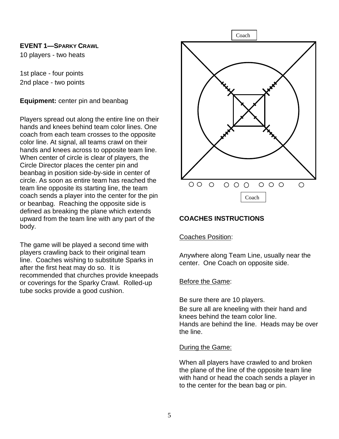## **EVENT 1—SPARKY CRAWL**

10 players - two heats

1st place - four points 2nd place - two points

# **Equipment:** center pin and beanbag

Players spread out along the entire line on their hands and knees behind team color lines. One coach from each team crosses to the opposite color line. At signal, all teams crawl on their hands and knees across to opposite team line. When center of circle is clear of players, the Circle Director places the center pin and beanbag in position side-by-side in center of circle. As soon as entire team has reached the team line opposite its starting line, the team coach sends a player into the center for the pin or beanbag. Reaching the opposite side is defined as breaking the plane which extends upward from the team line with any part of the body.

The game will be played a second time with players crawling back to their original team line. Coaches wishing to substitute Sparks in after the first heat may do so. It is recommended that churches provide kneepads or coverings for the Sparky Crawl. Rolled-up tube socks provide a good cushion.



# **COACHES INSTRUCTIONS**

## Coaches Position:

Anywhere along Team Line, usually near the center. One Coach on opposite side.

## Before the Game:

Be sure there are 10 players.

Be sure all are kneeling with their hand and knees behind the team color line. Hands are behind the line. Heads may be over the line.

#### During the Game:

When all players have crawled to and broken the plane of the line of the opposite team line with hand or head the coach sends a player in to the center for the bean bag or pin.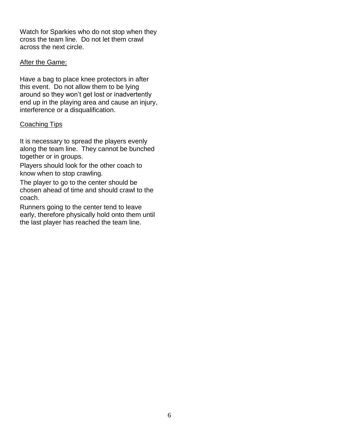Watch for Sparkies who do not stop when they cross the team line. Do not let them crawl across the next circle.

# After the Game:

Have a bag to place knee protectors in after this event. Do not allow them to be lying around so they won't get lost or inadvertently end up in the playing area and cause an injury, interference or a disqualification.

# Coaching Tips

It is necessary to spread the players evenly along the team line. They cannot be bunched together or in groups.

Players should look for the other coach to know when to stop crawling.

The player to go to the center should be chosen ahead of time and should crawl to the coach.

Runners going to the center tend to leave early, therefore physically hold onto them until the last player has reached the team line.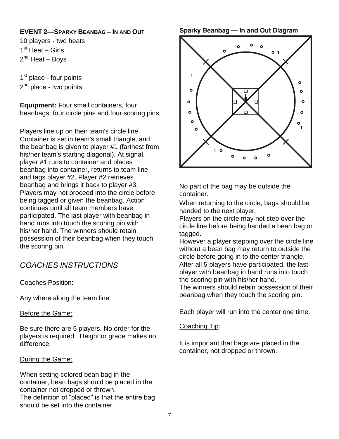# **EVENT 2—SPARKY BEANBAG – IN AND OUT**

10 players - two heats 1<sup>st</sup> Heat - Girls 2<sup>nd</sup> Heat – Boys

1<sup>st</sup> place - four points 2<sup>nd</sup> place - two points

**Equipment:** Four small containers, four beanbags, four circle pins and four scoring pins

Players line up on their team's circle line. Container is set in team's small triangle, and the beanbag is given to player #1 (farthest from his/her team's starting diagonal). At signal, player #1 runs to container and places beanbag into container, returns to team line and tags player #2. Player #2 retrieves beanbag and brings it back to player #3. Players may not proceed into the circle before being tagged or given the beanbag. Action continues until all team members have participated. The last player with beanbag in hand runs into touch the scoring pin with his/her hand. The winners should retain possession of their beanbag when they touch the scoring pin.

# *COACHES INSTRUCTIONS*

# Coaches Position:

Any where along the team line.

## Before the Game:

Be sure there are 5 players. No order for the players is required. Height or grade makes no difference.

## During the Game:

When setting colored bean bag in the container, bean bags should be placed in the container not dropped or thrown. The definition of "placed" is that the entire bag should be set into the container.

#### **Sparky Beanbag - In and Out Diagram**



No part of the bag may be outside the container.

When returning to the circle, bags should be handed to the next player.

Players on the circle may not step over the circle line before being handed a bean bag or tagged.

However a player stepping over the circle line without a bean bag may return to outside the circle before going in to the center triangle. After all 5 players have participated, the last player with beanbag in hand runs into touch the scoring pin with his/her hand.

The winners should retain possession of their beanbag when they touch the scoring pin.

#### Each player will run into the center one time.

#### Coaching Tip:

It is important that bags are placed in the container, not dropped or thrown.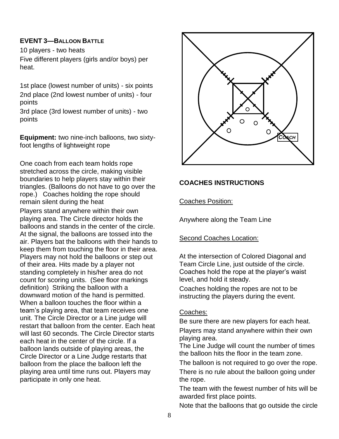# **EVENT 3—BALLOON BATTLE**

10 players - two heats Five different players (girls and/or boys) per heat.

1st place (lowest number of units) - six points 2nd place (2nd lowest number of units) - four points

3rd place (3rd lowest number of units) - two points

**Equipment:** two nine-inch balloons, two sixtyfoot lengths of lightweight rope

One coach from each team holds rope stretched across the circle, making visible boundaries to help players stay within their triangles. (Balloons do not have to go over the rope.) Coaches holding the rope should remain silent during the heat

Players stand anywhere within their own playing area. The Circle director holds the balloons and stands in the center of the circle. At the signal, the balloons are tossed into the air. Players bat the balloons with their hands to keep them from touching the floor in their area. Players may not hold the balloons or step out of their area. Hits made by a player not standing completely in his/her area do not count for scoring units. (See floor markings definition) Striking the balloon with a downward motion of the hand is permitted. When a balloon touches the floor within a team's playing area, that team receives one unit. The Circle Director or a Line judge will restart that balloon from the center. Each heat will last 60 seconds. The Circle Director starts each heat in the center of the circle. If a balloon lands outside of playing areas, the Circle Director or a Line Judge restarts that balloon from the place the balloon left the playing area until time runs out. Players may participate in only one heat.



# **COACHES INSTRUCTIONS**

## Coaches Position:

Anywhere along the Team Line

## Second Coaches Location:

At the intersection of Colored Diagonal and Team Circle Line, just outside of the circle. Coaches hold the rope at the player's waist level, and hold it steady.

Coaches holding the ropes are not to be instructing the players during the event.

# Coaches:

Be sure there are new players for each heat. Players may stand anywhere within their own playing area.

The Line Judge will count the number of times the balloon hits the floor in the team zone.

The balloon is not required to go over the rope.

There is no rule about the balloon going under the rope.

The team with the fewest number of hits will be awarded first place points.

Note that the balloons that go outside the circle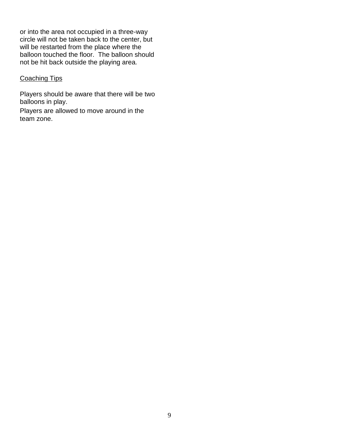or into the area not occupied in a three-way circle will not be taken back to the center, but will be restarted from the place where the balloon touched the floor. The balloon should not be hit back outside the playing area*.*

#### Coaching Tips

Players should be aware that there will be two balloons in play.

Players are allowed to move around in the team zone.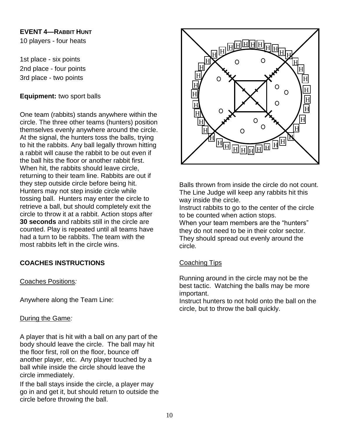# **EVENT 4—RABBIT HUNT**

10 players - four heats

1st place - six points 2nd place - four points 3rd place - two points

# **Equipment:** two sport balls

One team (rabbits) stands anywhere within the circle. The three other teams (hunters) position themselves evenly anywhere around the circle. At the signal, the hunters toss the balls, trying to hit the rabbits. Any ball legally thrown hitting a rabbit will cause the rabbit to be out even if the ball hits the floor or another rabbit first. When hit, the rabbits should leave circle, returning to their team line. Rabbits are out if they step outside circle before being hit. Hunters may not step inside circle while tossing ball. Hunters may enter the circle to retrieve a ball, but should completely exit the circle to throw it at a rabbit. Action stops after **30 seconds** and rabbits still in the circle are counted. Play is repeated until all teams have had a turn to be rabbits. The team with the most rabbits left in the circle wins.

# **COACHES INSTRUCTIONS**

## Coaches Positions*:*

Anywhere along the Team Line:

## During the Game*:*

A player that is hit with a ball on any part of the body should leave the circle. The ball may hit the floor first, roll on the floor, bounce off another player, etc. Any player touched by a ball while inside the circle should leave the circle immediately.

If the ball stays inside the circle, a player may go in and get it, but should return to outside the circle before throwing the ball.



Balls thrown from inside the circle do not count. The Line Judge will keep any rabbits hit this way inside the circle.

Instruct rabbits to go to the center of the circle to be counted when action stops.

When your team members are the "hunters" they do not need to be in their color sector. They should spread out evenly around the circle*.*

## Coaching Tips

Running around in the circle may not be the best tactic. Watching the balls may be more important.

Instruct hunters to not hold onto the ball on the circle, but to throw the ball quickly.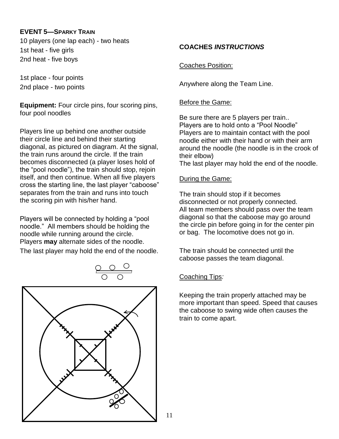# **EVENT 5—SPARKY TRAIN**

10 players (one lap each) - two heats 1st heat - five girls 2nd heat - five boys

1st place - four points 2nd place - two points

**Equipment:** Four circle pins, four scoring pins, four pool noodles

Players line up behind one another outside their circle line and behind their starting diagonal, as pictured on diagram. At the signal, the train runs around the circle. If the train becomes disconnected (a player loses hold of the "pool noodle"), the train should stop, rejoin itself, and then continue. When all five players cross the starting line, the last player "caboose" separates from the train and runs into touch the scoring pin with his/her hand.

Players will be connected by holding a "pool noodle." All members should be holding the noodle while running around the circle. Players **may** alternate sides of the noodle. The last player may hold the end of the noodle.



# **COACHES** *INSTRUCTIONS*

Coaches Position:

Anywhere along the Team Line.

# Before the Game:

Be sure there are 5 players per train.. Players are to hold onto a "Pool Noodle" Players are to maintain contact with the pool noodle either with their hand or with their arm around the noodle (the noodle is in the crook of their elbow) The last player may hold the end of the noodle.

## During the Game:

The train should stop if it becomes disconnected or not properly connected. All team members should pass over the team diagonal so that the caboose may go around the circle pin before going in for the center pin or bag. The locomotive does not go in.

The train should be connected until the caboose passes the team diagonal.

# Coaching Tips*:*

Keeping the train properly attached may be more important than speed. Speed that causes the caboose to swing wide often causes the train to come apart.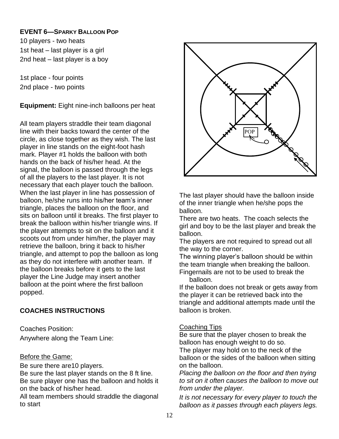# **EVENT 6—SPARKY BALLOON POP**

10 players - two heats 1st heat – last player is a girl 2nd heat – last player is a boy

1st place - four points 2nd place - two points

**Equipment:** Eight nine-inch balloons per heat

All team players straddle their team diagonal line with their backs toward the center of the circle, as close together as they wish. The last player in line stands on the eight-foot hash mark. Player #1 holds the balloon with both hands on the back of his/her head. At the signal, the balloon is passed through the legs of all the players to the last player. It is not necessary that each player touch the balloon. When the last player in line has possession of balloon, he/she runs into his/her team's inner triangle, places the balloon on the floor, and sits on balloon until it breaks. The first player to break the balloon within his/her triangle wins. If the player attempts to sit on the balloon and it scoots out from under him/her, the player may retrieve the balloon, bring it back to his/her triangle, and attempt to pop the balloon as long as they do not interfere with another team. If the balloon breaks before it gets to the last player the Line Judge may insert another balloon at the point where the first balloon popped.

# **COACHES INSTRUCTIONS**

Coaches Position: Anywhere along the Team Line:

# Before the Game:

Be sure there are10 players.

Be sure the last player stands on the 8 ft line. Be sure player one has the balloon and holds it on the back of his/her head.

All team members should straddle the diagonal to start



The last player should have the balloon inside of the inner triangle when he/she pops the balloon.

There are two heats. The coach selects the girl and boy to be the last player and break the balloon.

The players are not required to spread out all the way to the corner.

The winning player's balloon should be within the team triangle when breaking the balloon. Fingernails are not to be used to break the balloon.

If the balloon does not break or gets away from the player it can be retrieved back into the triangle and additional attempts made until the balloon is broken.

# Coaching Tips

Be sure that the player chosen to break the balloon has enough weight to do so.

The player may hold on to the neck of the balloon or the sides of the balloon when sitting on the balloon.

*Placing the balloon on the floor and then trying to sit on it often causes the balloon to move out from under the player.*

*It is not necessary for every player to touch the balloon as it passes through each players legs.*